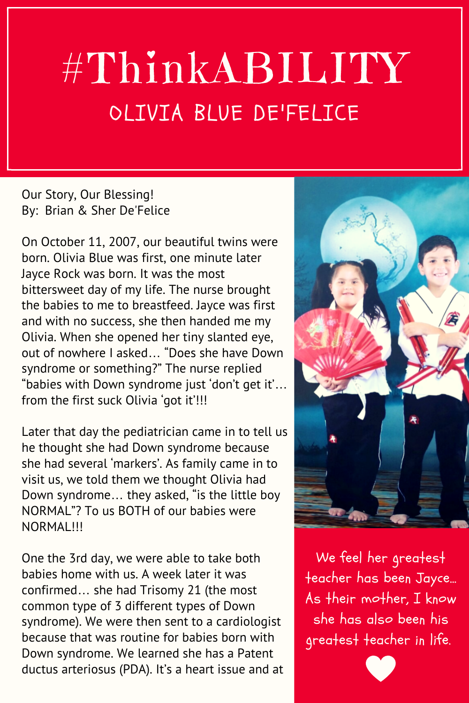## #ThinkABILITY OLIVIA BLUE DE'FELICE

Our Story, Our Blessing! By: Brian & Sher De'Felice

On October 11, 2007, our beautiful twins were born. Olivia Blue was first, one minute later Jayce Rock was born. It was the most bittersweet day of my life. The nurse brought the babies to me to breastfeed. Jayce was first and with no success, she then handed me my Olivia. When she opened her tiny slanted eye, out of nowhere I asked… "Does she have Down syndrome or something?" The nurse replied "babies with Down syndrome just 'don't get it'… from the first suck Olivia 'got it'!!!

Later that day the pediatrician came in to tell us he thought she had Down syndrome because she had several 'markers'. As family came in to visit us, we told them we thought Olivia had Down syndrome… they asked, "is the little boy NORMAL"? To us BOTH of our babies were NORMAL!!!

One the 3rd day, we were able to take both babies home with us. A week later it was confirmed… she had Trisomy 21 (the most common type of 3 different types of Down syndrome). We were then sent to a cardiologist because that was routine for babies born with Down syndrome. We learned she has a Patent ductus arteriosus (PDA). It's a heart issue and at



We feel her greatest teacher has been Jayce… As their mother, I know she has also been his greatest teacher in life.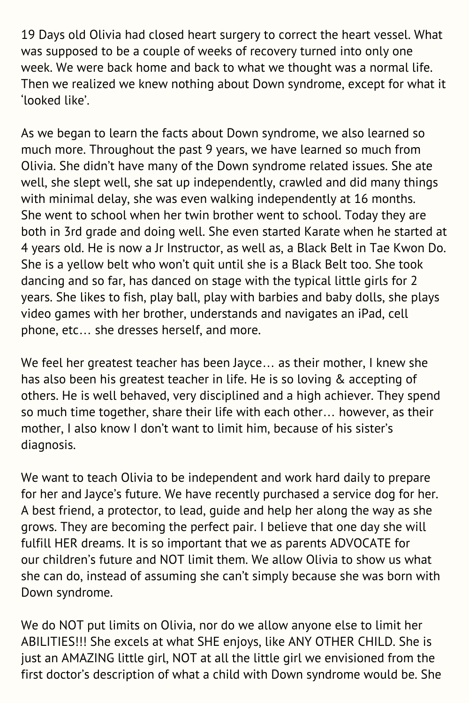19 Days old Olivia had closed heart surgery to correct the heart vessel. What was supposed to be a couple of weeks of recovery turned into only one week. We were back home and back to what we thought was a normal life. Then we realized we knew nothing about Down syndrome, except for what it 'looked like'.

As we began to learn the facts about Down syndrome, we also learned so much more. Throughout the past 9 years, we have learned so much from Olivia. She didn't have many of the Down syndrome related issues. She ate well, she slept well, she sat up independently, crawled and did many things with minimal delay, she was even walking independently at 16 months. She went to school when her twin brother went to school. Today they are both in 3rd grade and doing well. She even started Karate when he started at 4 years old. He is now a Jr Instructor, as well as, a Black Belt in Tae Kwon Do. She is a yellow belt who won't quit until she is a Black Belt too. She took dancing and so far, has danced on stage with the typical little girls for 2 years. She likes to fish, play ball, play with barbies and baby dolls, she plays video games with her brother, understands and navigates an iPad, cell phone, etc… she dresses herself, and more.

We feel her greatest teacher has been Jayce… as their mother, I knew she has also been his greatest teacher in life. He is so loving & accepting of others. He is well behaved, very disciplined and a high achiever. They spend so much time together, share their life with each other… however, as their mother, I also know I don't want to limit him, because of his sister's diagnosis.

We want to teach Olivia to be independent and work hard daily to prepare for her and Jayce's future. We have recently purchased a service dog for her. A best friend, a protector, to lead, guide and help her along the way as she grows. They are becoming the perfect pair. I believe that one day she will fulfill HER dreams. It is so important that we as parents ADVOCATE for our children's future and NOT limit them. We allow Olivia to show us what she can do, instead of assuming she can't simply because she was born with Down syndrome.

We do NOT put limits on Olivia, nor do we allow anyone else to limit her ABILITIES!!! She excels at what SHE enjoys, like ANY OTHER CHILD. She is just an AMAZING little girl, NOT at all the little girl we envisioned from the first doctor's description of what a child with Down syndrome would be. She